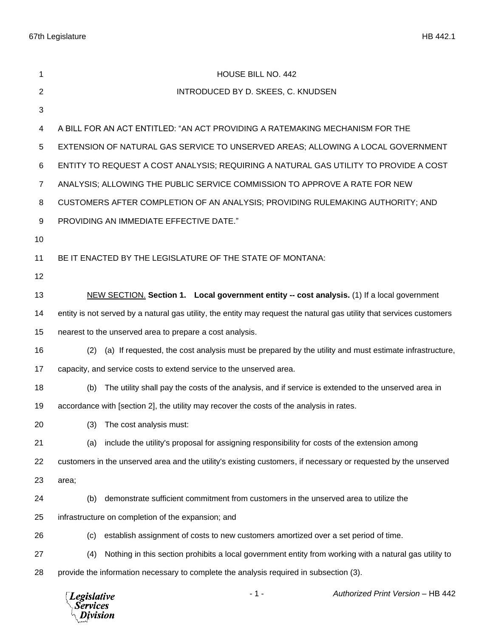| 1              | HOUSE BILL NO. 442                                                                                                    |
|----------------|-----------------------------------------------------------------------------------------------------------------------|
| $\overline{2}$ | INTRODUCED BY D. SKEES, C. KNUDSEN                                                                                    |
| 3              |                                                                                                                       |
| 4              | A BILL FOR AN ACT ENTITLED: "AN ACT PROVIDING A RATEMAKING MECHANISM FOR THE                                          |
| 5              | EXTENSION OF NATURAL GAS SERVICE TO UNSERVED AREAS; ALLOWING A LOCAL GOVERNMENT                                       |
| 6              | ENTITY TO REQUEST A COST ANALYSIS; REQUIRING A NATURAL GAS UTILITY TO PROVIDE A COST                                  |
| $\overline{7}$ | ANALYSIS; ALLOWING THE PUBLIC SERVICE COMMISSION TO APPROVE A RATE FOR NEW                                            |
| 8              | CUSTOMERS AFTER COMPLETION OF AN ANALYSIS; PROVIDING RULEMAKING AUTHORITY; AND                                        |
| 9              | PROVIDING AN IMMEDIATE EFFECTIVE DATE."                                                                               |
| 10             |                                                                                                                       |
| 11             | BE IT ENACTED BY THE LEGISLATURE OF THE STATE OF MONTANA:                                                             |
| 12             |                                                                                                                       |
| 13             | NEW SECTION. Section 1. Local government entity -- cost analysis. (1) If a local government                           |
| 14             | entity is not served by a natural gas utility, the entity may request the natural gas utility that services customers |
| 15             | nearest to the unserved area to prepare a cost analysis.                                                              |
| 16             | (a) If requested, the cost analysis must be prepared by the utility and must estimate infrastructure,<br>(2)          |
| 17             | capacity, and service costs to extend service to the unserved area.                                                   |
| 18             | The utility shall pay the costs of the analysis, and if service is extended to the unserved area in<br>(b)            |
| 19             | accordance with [section 2], the utility may recover the costs of the analysis in rates.                              |
| 20             | (3) The cost analysis must:                                                                                           |
| 21             | include the utility's proposal for assigning responsibility for costs of the extension among<br>(a)                   |
| 22             | customers in the unserved area and the utility's existing customers, if necessary or requested by the unserved        |
| 23             | area;                                                                                                                 |
| 24             | demonstrate sufficient commitment from customers in the unserved area to utilize the<br>(b)                           |
| 25             | infrastructure on completion of the expansion; and                                                                    |
| 26             | establish assignment of costs to new customers amortized over a set period of time.<br>(c)                            |
| 27             | Nothing in this section prohibits a local government entity from working with a natural gas utility to<br>(4)         |
| 28             | provide the information necessary to complete the analysis required in subsection (3).                                |
|                | $-1-$<br>Authorized Print Version - HB 442<br><b>Legislative</b><br><b>Services</b><br>Division                       |